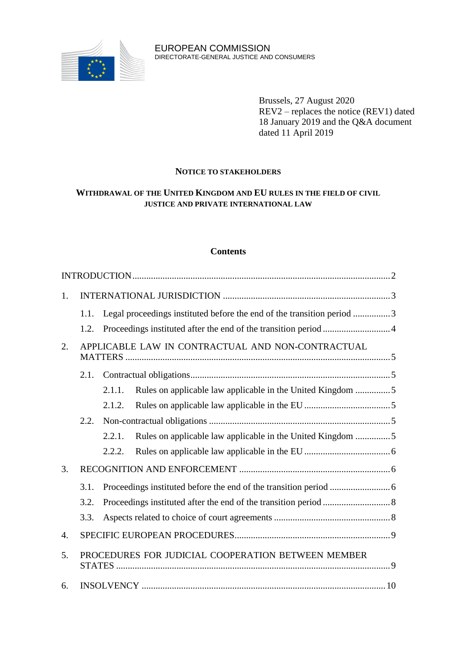

Brussels, 27 August 2020 REV2 – replaces the notice (REV1) dated 18 January 2019 and the Q&A document dated 11 April 2019

# **NOTICE TO STAKEHOLDERS**

# **WITHDRAWAL OF THE UNITED KINGDOM AND EU RULES IN THE FIELD OF CIVIL JUSTICE AND PRIVATE INTERNATIONAL LAW**

## **Contents**

| 1.               |                                                   |                                                                        |                                                            |  |  |  |
|------------------|---------------------------------------------------|------------------------------------------------------------------------|------------------------------------------------------------|--|--|--|
|                  | 1.1.                                              | Legal proceedings instituted before the end of the transition period 3 |                                                            |  |  |  |
|                  | 1.2.                                              |                                                                        |                                                            |  |  |  |
| 2.               | APPLICABLE LAW IN CONTRACTUAL AND NON-CONTRACTUAL |                                                                        |                                                            |  |  |  |
|                  | 2.1.                                              |                                                                        |                                                            |  |  |  |
|                  |                                                   | 2.1.1.                                                                 | Rules on applicable law applicable in the United Kingdom 5 |  |  |  |
|                  |                                                   | 2.1.2.                                                                 |                                                            |  |  |  |
|                  | 2.2.                                              |                                                                        |                                                            |  |  |  |
|                  |                                                   | 2.2.1.                                                                 | Rules on applicable law applicable in the United Kingdom 5 |  |  |  |
|                  |                                                   | 2.2.2.                                                                 |                                                            |  |  |  |
| 3.               |                                                   |                                                                        |                                                            |  |  |  |
|                  | 3.1.                                              |                                                                        |                                                            |  |  |  |
|                  | 3.2.                                              |                                                                        |                                                            |  |  |  |
|                  | 3.3.                                              |                                                                        |                                                            |  |  |  |
| $\overline{4}$ . |                                                   |                                                                        |                                                            |  |  |  |
| 5.               |                                                   | PROCEDURES FOR JUDICIAL COOPERATION BETWEEN MEMBER                     |                                                            |  |  |  |
| 6.               |                                                   |                                                                        |                                                            |  |  |  |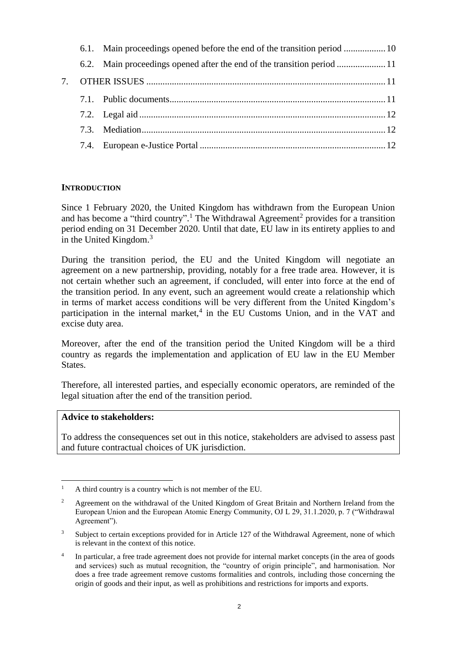## <span id="page-1-0"></span>**INTRODUCTION**

Since 1 February 2020, the United Kingdom has withdrawn from the European Union and has become a "third country".<sup>1</sup> The Withdrawal Agreement<sup>2</sup> provides for a transition period ending on 31 December 2020. Until that date, EU law in its entirety applies to and in the United Kingdom. $3$ 

During the transition period, the EU and the United Kingdom will negotiate an agreement on a new partnership, providing, notably for a free trade area. However, it is not certain whether such an agreement, if concluded, will enter into force at the end of the transition period. In any event, such an agreement would create a relationship which in terms of market access conditions will be very different from the United Kingdom's participation in the internal market,<sup>4</sup> in the EU Customs Union, and in the VAT and excise duty area.

Moreover, after the end of the transition period the United Kingdom will be a third country as regards the implementation and application of EU law in the EU Member States.

Therefore, all interested parties, and especially economic operators, are reminded of the legal situation after the end of the transition period.

## **Advice to stakeholders:**

 $\overline{a}$ 

To address the consequences set out in this notice, stakeholders are advised to assess past and future contractual choices of UK jurisdiction.

<sup>&</sup>lt;sup>1</sup> A third country is a country which is not member of the EU.

<sup>&</sup>lt;sup>2</sup> Agreement on the withdrawal of the United Kingdom of Great Britain and Northern Ireland from the European Union and the European Atomic Energy Community, OJ L 29, 31.1.2020, p. 7 ("Withdrawal Agreement").

<sup>&</sup>lt;sup>3</sup> Subject to certain exceptions provided for in Article 127 of the Withdrawal Agreement, none of which is relevant in the context of this notice.

<sup>4</sup> In particular, a free trade agreement does not provide for internal market concepts (in the area of goods and services) such as mutual recognition, the "country of origin principle", and harmonisation. Nor does a free trade agreement remove customs formalities and controls, including those concerning the origin of goods and their input, as well as prohibitions and restrictions for imports and exports.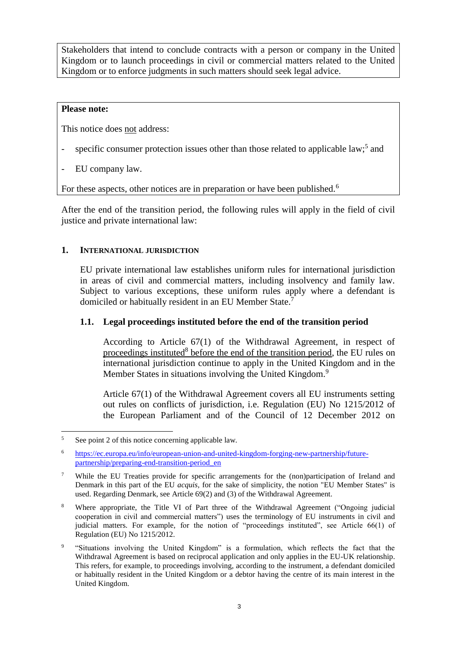Stakeholders that intend to conclude contracts with a person or company in the United Kingdom or to launch proceedings in civil or commercial matters related to the United Kingdom or to enforce judgments in such matters should seek legal advice.

## **Please note:**

 $\overline{a}$ 

This notice does not address:

- specific consumer protection issues other than those related to applicable law;<sup>5</sup> and
- EU company law.

For these aspects, other notices are in preparation or have been published.<sup>6</sup>

After the end of the transition period, the following rules will apply in the field of civil justice and private international law:

## <span id="page-2-0"></span>**1. INTERNATIONAL JURISDICTION**

EU private international law establishes uniform rules for international jurisdiction in areas of civil and commercial matters, including insolvency and family law. Subject to various exceptions, these uniform rules apply where a defendant is domiciled or habitually resident in an EU Member State.<sup>7</sup>

## <span id="page-2-1"></span>**1.1. Legal proceedings instituted before the end of the transition period**

According to Article 67(1) of the Withdrawal Agreement, in respect of proceedings instituted<sup>8</sup> before the end of the transition period, the EU rules on international jurisdiction continue to apply in the United Kingdom and in the Member States in situations involving the United Kingdom.<sup>9</sup>

Article 67(1) of the Withdrawal Agreement covers all EU instruments setting out rules on conflicts of jurisdiction, i.e. Regulation (EU) No 1215/2012 of the European Parliament and of the Council of 12 December 2012 on

<sup>5</sup> See point 2 of this notice concerning applicable law.

<sup>6</sup> [https://ec.europa.eu/info/european-union-and-united-kingdom-forging-new-partnership/future](https://ec.europa.eu/info/european-union-and-united-kingdom-forging-new-partnership/future-partnership/preparing-end-transition-period_en)[partnership/preparing-end-transition-period\\_en](https://ec.europa.eu/info/european-union-and-united-kingdom-forging-new-partnership/future-partnership/preparing-end-transition-period_en)

<sup>&</sup>lt;sup>7</sup> While the EU Treaties provide for specific arrangements for the (non)participation of Ireland and Denmark in this part of the EU *acquis,* for the sake of simplicity, the notion "EU Member States" is used. Regarding Denmark, see Article 69(2) and (3) of the Withdrawal Agreement.

<sup>&</sup>lt;sup>8</sup> Where appropriate, the Title VI of Part three of the Withdrawal Agreement ("Ongoing judicial cooperation in civil and commercial matters") uses the terminology of EU instruments in civil and judicial matters. For example, for the notion of "proceedings instituted", see Article 66(1) of Regulation (EU) No 1215/2012.

<sup>9</sup> "Situations involving the United Kingdom" is a formulation, which reflects the fact that the Withdrawal Agreement is based on reciprocal application and only applies in the EU-UK relationship. This refers, for example, to proceedings involving, according to the instrument, a defendant domiciled or habitually resident in the United Kingdom or a debtor having the centre of its main interest in the United Kingdom.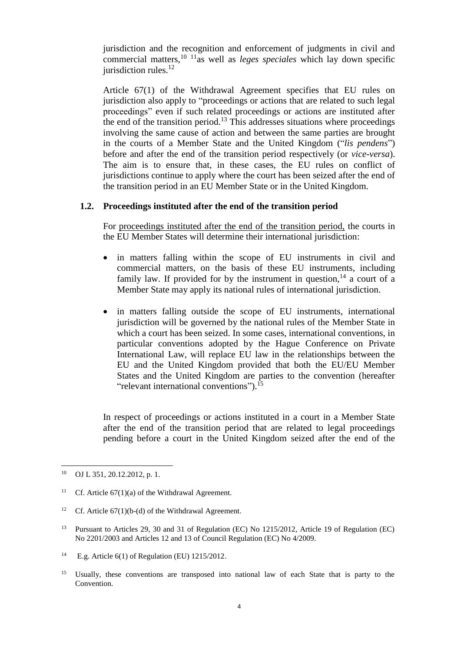jurisdiction and the recognition and enforcement of judgments in civil and commercial matters, <sup>10</sup> <sup>11</sup>as well as *leges speciales* which lay down specific jurisdiction rules.<sup>12</sup>

Article 67(1) of the Withdrawal Agreement specifies that EU rules on jurisdiction also apply to "proceedings or actions that are related to such legal proceedings" even if such related proceedings or actions are instituted after the end of the transition period. <sup>13</sup> This addresses situations where proceedings involving the same cause of action and between the same parties are brought in the courts of a Member State and the United Kingdom ("*lis pendens*") before and after the end of the transition period respectively (or *vice-versa*). The aim is to ensure that, in these cases, the EU rules on conflict of jurisdictions continue to apply where the court has been seized after the end of the transition period in an EU Member State or in the United Kingdom.

## <span id="page-3-0"></span>**1.2. Proceedings instituted after the end of the transition period**

For proceedings instituted after the end of the transition period, the courts in the EU Member States will determine their international jurisdiction:

- in matters falling within the scope of EU instruments in civil and commercial matters, on the basis of these EU instruments, including family law. If provided for by the instrument in question,  $14$  a court of a Member State may apply its national rules of international jurisdiction.
- in matters falling outside the scope of EU instruments, international jurisdiction will be governed by the national rules of the Member State in which a court has been seized. In some cases, international conventions, in particular conventions adopted by the Hague Conference on Private International Law, will replace EU law in the relationships between the EU and the United Kingdom provided that both the EU/EU Member States and the United Kingdom are parties to the convention (hereafter "relevant international conventions").<sup>15</sup>

In respect of proceedings or actions instituted in a court in a Member State after the end of the transition period that are related to legal proceedings pending before a court in the United Kingdom seized after the end of the

 $\overline{a}$ 

<sup>15</sup> Usually, these conventions are transposed into national law of each State that is party to the Convention.

<sup>10</sup> OJ L 351, 20.12.2012, p. 1.

<sup>&</sup>lt;sup>11</sup> Cf. Article  $67(1)(a)$  of the Withdrawal Agreement.

<sup>&</sup>lt;sup>12</sup> Cf. Article  $67(1)(b-(d)$  of the Withdrawal Agreement.

<sup>&</sup>lt;sup>13</sup> Pursuant to Articles 29, 30 and 31 of Regulation (EC) No 1215/2012, Article 19 of Regulation (EC) No 2201/2003 and Articles 12 and 13 of Council Regulation (EC) No 4/2009.

<sup>&</sup>lt;sup>14</sup> E.g. Article  $6(1)$  of Regulation (EU) 1215/2012.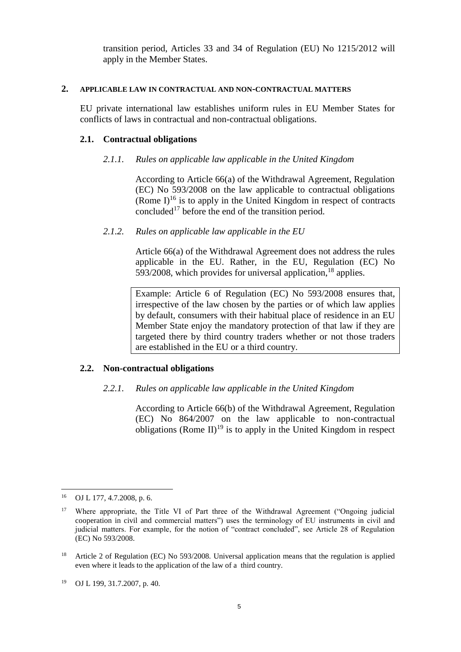transition period, Articles 33 and 34 of Regulation (EU) No 1215/2012 will apply in the Member States.

#### <span id="page-4-0"></span>**2. APPLICABLE LAW IN CONTRACTUAL AND NON-CONTRACTUAL MATTERS**

EU private international law establishes uniform rules in EU Member States for conflicts of laws in contractual and non-contractual obligations.

#### <span id="page-4-2"></span><span id="page-4-1"></span>**2.1. Contractual obligations**

#### *2.1.1. Rules on applicable law applicable in the United Kingdom*

According to Article 66(a) of the Withdrawal Agreement, Regulation (EC) No 593/2008 on the law applicable to contractual obligations (Rome  $I$ )<sup>16</sup> is to apply in the United Kingdom in respect of contracts concluded<sup>17</sup> before the end of the transition period.

#### <span id="page-4-3"></span>*2.1.2. Rules on applicable law applicable in the EU*

Article 66(a) of the Withdrawal Agreement does not address the rules applicable in the EU. Rather, in the EU, Regulation (EC) No 593/2008, which provides for universal application,  $^{18}$  applies.

Example: Article 6 of Regulation (EC) No 593/2008 ensures that, irrespective of the law chosen by the parties or of which law applies by default, consumers with their habitual place of residence in an EU Member State enjoy the mandatory protection of that law if they are targeted there by third country traders whether or not those traders are established in the EU or a third country.

#### <span id="page-4-5"></span><span id="page-4-4"></span>**2.2. Non-contractual obligations**

## *2.2.1. Rules on applicable law applicable in the United Kingdom*

According to Article 66(b) of the Withdrawal Agreement, Regulation (EC) No 864/2007 on the law applicable to non-contractual obligations (Rome  $II$ )<sup>19</sup> is to apply in the United Kingdom in respect

 $\overline{a}$ 

<sup>16</sup> OJ L 177, 4.7.2008, p. 6.

<sup>&</sup>lt;sup>17</sup> Where appropriate, the Title VI of Part three of the Withdrawal Agreement ("Ongoing judicial cooperation in civil and commercial matters") uses the terminology of EU instruments in civil and judicial matters. For example, for the notion of "contract concluded", see Article 28 of Regulation (EC) No 593/2008.

<sup>&</sup>lt;sup>18</sup> Article 2 of Regulation (EC) No 593/2008. Universal application means that the regulation is applied even where it leads to the application of the law of a third country.

<sup>19</sup> OJ L 199, 31.7.2007, p. 40.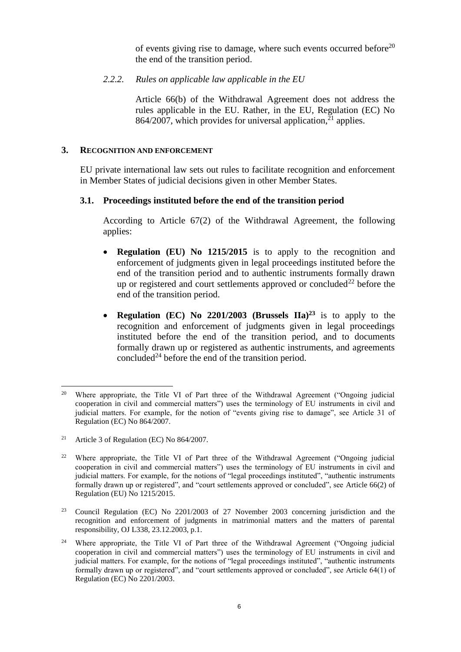of events giving rise to damage, where such events occurred before<sup>20</sup> the end of the transition period.

## <span id="page-5-0"></span>*2.2.2. Rules on applicable law applicable in the EU*

Article 66(b) of the Withdrawal Agreement does not address the rules applicable in the EU. Rather, in the EU, Regulation (EC) No 864/2007, which provides for universal application,  $2<sup>1</sup>$  applies.

#### <span id="page-5-1"></span>**3. RECOGNITION AND ENFORCEMENT**

EU private international law sets out rules to facilitate recognition and enforcement in Member States of judicial decisions given in other Member States.

## <span id="page-5-2"></span>**3.1. Proceedings instituted before the end of the transition period**

According to Article 67(2) of the Withdrawal Agreement, the following applies:

- **Regulation (EU) No 1215/2015** is to apply to the recognition and enforcement of judgments given in legal proceedings instituted before the end of the transition period and to authentic instruments formally drawn up or registered and court settlements approved or concluded<sup>22</sup> before the end of the transition period.
- **Regulation (EC) No 2201/2003 (Brussels IIa)<sup>23</sup>** is to apply to the recognition and enforcement of judgments given in legal proceedings instituted before the end of the transition period, and to documents formally drawn up or registered as authentic instruments, and agreements concluded<sup>24</sup> before the end of the transition period.

 $\overline{a}$ <sup>20</sup> Where appropriate, the Title VI of Part three of the Withdrawal Agreement ("Ongoing judicial cooperation in civil and commercial matters") uses the terminology of EU instruments in civil and judicial matters. For example, for the notion of "events giving rise to damage", see Article 31 of Regulation (EC) No 864/2007.

<sup>21</sup> Article 3 of Regulation (EC) No 864/2007.

<sup>&</sup>lt;sup>22</sup> Where appropriate, the Title VI of Part three of the Withdrawal Agreement ("Ongoing judicial cooperation in civil and commercial matters") uses the terminology of EU instruments in civil and judicial matters. For example, for the notions of "legal proceedings instituted", "authentic instruments formally drawn up or registered", and "court settlements approved or concluded", see Article 66(2) of Regulation (EU) No 1215/2015.

<sup>23</sup> Council Regulation (EC) No 2201/2003 of 27 November 2003 concerning jurisdiction and the recognition and enforcement of judgments in matrimonial matters and the matters of parental responsibility, OJ L338, 23.12.2003, p.1.

<sup>&</sup>lt;sup>24</sup> Where appropriate, the Title VI of Part three of the Withdrawal Agreement ("Ongoing judicial cooperation in civil and commercial matters") uses the terminology of EU instruments in civil and judicial matters. For example, for the notions of "legal proceedings instituted", "authentic instruments formally drawn up or registered", and "court settlements approved or concluded", see Article 64(1) of Regulation (EC) No 2201/2003.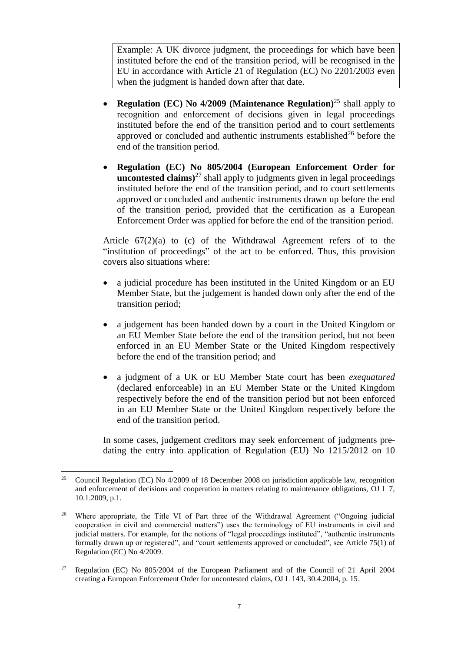Example: A UK divorce judgment, the proceedings for which have been instituted before the end of the transition period, will be recognised in the EU in accordance with Article 21 of Regulation (EC) No 2201/2003 even when the judgment is handed down after that date.

- **Regulation (EC) No 4/2009 (Maintenance Regulation)**<sup>25</sup> shall apply to recognition and enforcement of decisions given in legal proceedings instituted before the end of the transition period and to court settlements approved or concluded and authentic instruments established $^{26}$  before the end of the transition period.
- **Regulation (EC) No 805/2004 (European Enforcement Order for uncontested claims**)<sup>27</sup> shall apply to judgments given in legal proceedings instituted before the end of the transition period, and to court settlements approved or concluded and authentic instruments drawn up before the end of the transition period, provided that the certification as a European Enforcement Order was applied for before the end of the transition period.

Article 67(2)(a) to (c) of the Withdrawal Agreement refers of to the "institution of proceedings" of the act to be enforced. Thus, this provision covers also situations where:

- a judicial procedure has been instituted in the United Kingdom or an EU Member State, but the judgement is handed down only after the end of the transition period;
- a judgement has been handed down by a court in the United Kingdom or an EU Member State before the end of the transition period, but not been enforced in an EU Member State or the United Kingdom respectively before the end of the transition period; and
- a judgment of a UK or EU Member State court has been *exequatured* (declared enforceable) in an EU Member State or the United Kingdom respectively before the end of the transition period but not been enforced in an EU Member State or the United Kingdom respectively before the end of the transition period.

In some cases, judgement creditors may seek enforcement of judgments predating the entry into application of Regulation (EU) No 1215/2012 on 10

 $\overline{a}$ <sup>25</sup> Council Regulation (EC) No 4/2009 of 18 December 2008 on jurisdiction applicable law, recognition and enforcement of decisions and cooperation in matters relating to maintenance obligations, OJ L 7, 10.1.2009, p.1.

<sup>&</sup>lt;sup>26</sup> Where appropriate, the Title VI of Part three of the Withdrawal Agreement ("Ongoing judicial cooperation in civil and commercial matters") uses the terminology of EU instruments in civil and judicial matters. For example, for the notions of "legal proceedings instituted", "authentic instruments formally drawn up or registered", and "court settlements approved or concluded", see Article 75(1) of Regulation (EC) No 4/2009.

<sup>&</sup>lt;sup>27</sup> Regulation (EC) No  $805/2004$  of the European Parliament and of the Council of 21 April 2004 creating a European Enforcement Order for uncontested claims, OJ L 143, 30.4.2004, p. 15.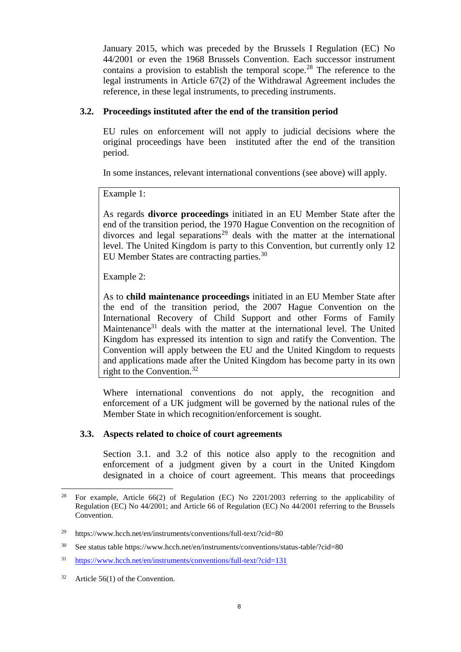January 2015, which was preceded by the Brussels I Regulation (EC) No 44/2001 or even the 1968 Brussels Convention. Each successor instrument contains a provision to establish the temporal scope.<sup>28</sup> The reference to the legal instruments in Article 67(2) of the Withdrawal Agreement includes the reference, in these legal instruments, to preceding instruments.

## <span id="page-7-0"></span>**3.2. Proceedings instituted after the end of the transition period**

EU rules on enforcement will not apply to judicial decisions where the original proceedings have been instituted after the end of the transition period.

In some instances, relevant international conventions (see above) will apply.

Example 1:

As regards **divorce proceedings** initiated in an EU Member State after the end of the transition period, the 1970 Hague Convention on the recognition of  $divorces$  and legal separations<sup>29</sup> deals with the matter at the international level. The United Kingdom is party to this Convention, but currently only 12 EU Member States are contracting parties. $30$ 

Example 2:

As to **child maintenance proceedings** initiated in an EU Member State after the end of the transition period, the 2007 Hague Convention on the International Recovery of Child Support and other Forms of Family Maintenance<sup>31</sup> deals with the matter at the international level. The United Kingdom has expressed its intention to sign and ratify the Convention. The Convention will apply between the EU and the United Kingdom to requests and applications made after the United Kingdom has become party in its own right to the Convention.<sup>32</sup>

Where international conventions do not apply, the recognition and enforcement of a UK judgment will be governed by the national rules of the Member State in which recognition/enforcement is sought.

## <span id="page-7-1"></span>**3.3. Aspects related to choice of court agreements**

Section 3.1. and 3.2 of this notice also apply to the recognition and enforcement of a judgment given by a court in the United Kingdom designated in a choice of court agreement. This means that proceedings

 $\overline{a}$ 

<sup>&</sup>lt;sup>28</sup> For example, Article 66(2) of Regulation (EC) No 2201/2003 referring to the applicability of Regulation (EC) No 44/2001; and Article 66 of Regulation (EC) No 44/2001 referring to the Brussels Convention.

<sup>&</sup>lt;sup>29</sup> https://www.hcch.net/en/instruments/conventions/full-text/?cid=80

<sup>30</sup> See status table https://www.hcch.net/en/instruments/conventions/status-table/?cid=80

<sup>31</sup> <https://www.hcch.net/en/instruments/conventions/full-text/?cid=131>

 $32$  Article 56(1) of the Convention.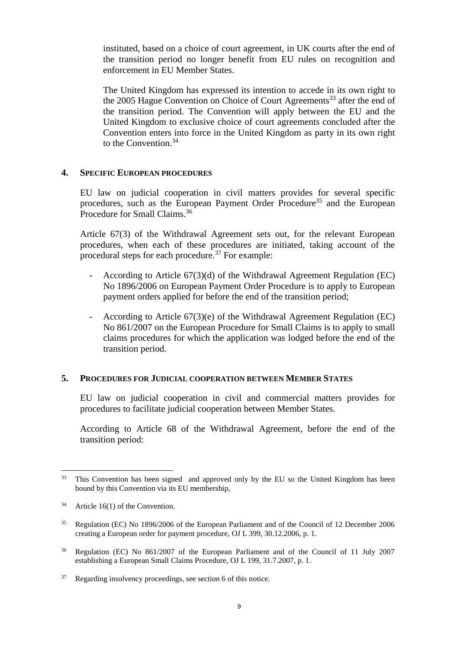instituted, based on a choice of court agreement, in UK courts after the end of the transition period no longer benefit from EU rules on recognition and enforcement in EU Member States.

The United Kingdom has expressed its intention to accede in its own right to the 2005 Hague Convention on Choice of Court Agreements<sup>33</sup> after the end of the transition period. The Convention will apply between the EU and the United Kingdom to exclusive choice of court agreements concluded after the Convention enters into force in the United Kingdom as party in its own right to the Convention. 34

## <span id="page-8-0"></span>**4. SPECIFIC EUROPEAN PROCEDURES**

EU law on judicial cooperation in civil matters provides for several specific procedures, such as the European Payment Order Procedure<sup>35</sup> and the European Procedure for Small Claims.<sup>36</sup>

Article 67(3) of the Withdrawal Agreement sets out, for the relevant European procedures, when each of these procedures are initiated, taking account of the procedural steps for each procedure.<sup>37</sup> For example:

- According to Article  $67(3)(d)$  of the Withdrawal Agreement Regulation (EC) No 1896/2006 on European Payment Order Procedure is to apply to European payment orders applied for before the end of the transition period;
- According to Article  $67(3)$ (e) of the Withdrawal Agreement Regulation (EC) No 861/2007 on the European Procedure for Small Claims is to apply to small claims procedures for which the application was lodged before the end of the transition period.

## <span id="page-8-1"></span>**5. PROCEDURES FOR JUDICIAL COOPERATION BETWEEN MEMBER STATES**

EU law on judicial cooperation in civil and commercial matters provides for procedures to facilitate judicial cooperation between Member States.

According to Article 68 of the Withdrawal Agreement, before the end of the transition period:

 $\overline{a}$ <sup>33</sup> This Convention has been signed and approved only by the EU so the United Kingdom has been bound by this Convention via its EU membership,

 $34$  Article 16(1) of the Convention.

<sup>35</sup> Regulation (EC) No 1896/2006 of the European Parliament and of the Council of 12 December 2006 creating a European order for payment procedure, OJ L 399, 30.12.2006, p. 1.

<sup>36</sup> Regulation (EC) No 861/2007 of the European Parliament and of the Council of 11 July 2007 establishing a European Small Claims Procedure, OJ L 199, 31.7.2007, p. 1.

<sup>37</sup> Regarding insolvency proceedings, see section 6 of this notice.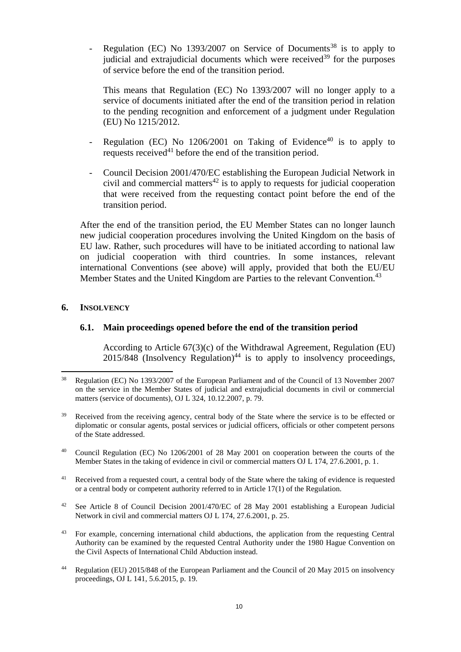Regulation (EC) No 1393/2007 on Service of Documents<sup>38</sup> is to apply to judicial and extrajudicial documents which were received $39$  for the purposes of service before the end of the transition period.

This means that Regulation (EC) No 1393/2007 will no longer apply to a service of documents initiated after the end of the transition period in relation to the pending recognition and enforcement of a judgment under Regulation (EU) No 1215/2012.

- Regulation (EC) No  $1206/2001$  on Taking of Evidence<sup>40</sup> is to apply to requests received $41$  before the end of the transition period.
- Council Decision 2001/470/EC establishing the European Judicial Network in civil and commercial matters<sup>42</sup> is to apply to requests for judicial cooperation that were received from the requesting contact point before the end of the transition period.

After the end of the transition period, the EU Member States can no longer launch new judicial cooperation procedures involving the United Kingdom on the basis of EU law. Rather, such procedures will have to be initiated according to national law on judicial cooperation with third countries. In some instances, relevant international Conventions (see above) will apply, provided that both the EU/EU Member States and the United Kingdom are Parties to the relevant Convention.<sup>43</sup>

#### <span id="page-9-1"></span><span id="page-9-0"></span>**6. INSOLVENCY**

 $\overline{a}$ 

## **6.1. Main proceedings opened before the end of the transition period**

According to Article 67(3)(c) of the Withdrawal Agreement, Regulation (EU)  $2015/848$  (Insolvency Regulation)<sup>44</sup> is to apply to insolvency proceedings,

- <sup>40</sup> Council Regulation (EC) No 1206/2001 of 28 May 2001 on cooperation between the courts of the Member States in the taking of evidence in civil or commercial matters OJ L 174, 27.6.2001, p. 1.
- <sup>41</sup> Received from a requested court, a central body of the State where the taking of evidence is requested or a central body or competent authority referred to in Article 17(1) of the Regulation.
- <sup>42</sup> See Article 8 of Council Decision 2001/470/EC of 28 May 2001 establishing a European Judicial Network in civil and commercial matters OJ L 174, 27.6.2001, p. 25.
- <sup>43</sup> For example, concerning international child abductions, the application from the requesting Central Authority can be examined by the requested Central Authority under the 1980 Hague Convention on the Civil Aspects of International Child Abduction instead.
- <sup>44</sup> Regulation (EU) 2015/848 of the European Parliament and the Council of 20 May 2015 on insolvency proceedings, OJ L 141, 5.6.2015, p. 19.

<sup>38</sup> Regulation (EC) No 1393/2007 of the European Parliament and of the Council of 13 November 2007 on the service in the Member States of judicial and extrajudicial documents in civil or commercial matters (service of documents), OJ L 324, 10.12.2007, p. 79.

<sup>&</sup>lt;sup>39</sup> Received from the receiving agency, central body of the State where the service is to be effected or diplomatic or consular agents, postal services or judicial officers, officials or other competent persons of the State addressed.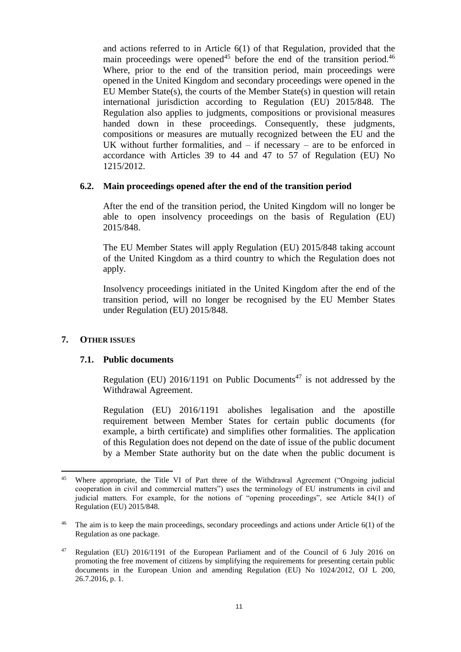and actions referred to in Article 6(1) of that Regulation, provided that the main proceedings were opened<sup>45</sup> before the end of the transition period.<sup>46</sup> Where, prior to the end of the transition period, main proceedings were opened in the United Kingdom and secondary proceedings were opened in the EU Member State(s), the courts of the Member State(s) in question will retain international jurisdiction according to Regulation (EU) 2015/848. The Regulation also applies to judgments, compositions or provisional measures handed down in these proceedings. Consequently, these judgments, compositions or measures are mutually recognized between the EU and the UK without further formalities, and  $-$  if necessary  $-$  are to be enforced in accordance with Articles 39 to 44 and 47 to 57 of Regulation (EU) No 1215/2012.

## <span id="page-10-0"></span>**6.2. Main proceedings opened after the end of the transition period**

After the end of the transition period, the United Kingdom will no longer be able to open insolvency proceedings on the basis of Regulation (EU) 2015/848.

The EU Member States will apply Regulation (EU) 2015/848 taking account of the United Kingdom as a third country to which the Regulation does not apply.

Insolvency proceedings initiated in the United Kingdom after the end of the transition period, will no longer be recognised by the EU Member States under Regulation (EU) 2015/848.

## <span id="page-10-2"></span><span id="page-10-1"></span>**7. OTHER ISSUES**

#### **7.1. Public documents**

Regulation (EU) 2016/1191 on Public Documents<sup>47</sup> is not addressed by the Withdrawal Agreement.

Regulation (EU) 2016/1191 abolishes legalisation and the apostille requirement between Member States for certain public documents (for example, a birth certificate) and simplifies other formalities. The application of this Regulation does not depend on the date of issue of the public document by a Member State authority but on the date when the public document is

 $\overline{a}$ Where appropriate, the Title VI of Part three of the Withdrawal Agreement ("Ongoing judicial cooperation in civil and commercial matters") uses the terminology of EU instruments in civil and judicial matters. For example, for the notions of "opening proceedings", see Article 84(1) of Regulation (EU) 2015/848.

<sup>&</sup>lt;sup>46</sup> The aim is to keep the main proceedings, secondary proceedings and actions under Article 6(1) of the Regulation as one package.

<sup>47</sup> Regulation (EU) 2016/1191 of the European Parliament and of the Council of 6 July 2016 on promoting the free movement of citizens by simplifying the requirements for presenting certain public documents in the European Union and amending Regulation (EU) No 1024/2012, OJ L 200, 26.7.2016, p. 1.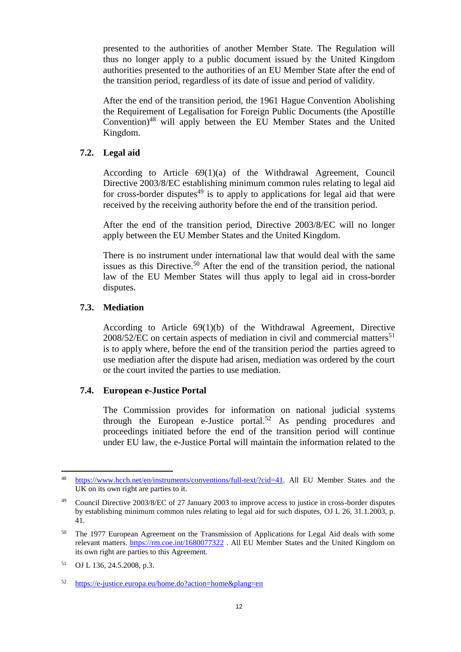presented to the authorities of another Member State. The Regulation will thus no longer apply to a public document issued by the United Kingdom authorities presented to the authorities of an EU Member State after the end of the transition period, regardless of its date of issue and period of validity.

After the end of the transition period, the 1961 Hague Convention Abolishing the Requirement of Legalisation for Foreign Public Documents (the Apostille Convention)<sup>48</sup> will apply between the EU Member States and the United Kingdom.

## <span id="page-11-0"></span>**7.2. Legal aid**

According to Article 69(1)(a) of the Withdrawal Agreement, Council Directive 2003/8/EC establishing minimum common rules relating to legal aid for cross-border disputes $49$  is to apply to applications for legal aid that were received by the receiving authority before the end of the transition period.

After the end of the transition period, Directive 2003/8/EC will no longer apply between the EU Member States and the United Kingdom.

There is no instrument under international law that would deal with the same issues as this Directive. <sup>50</sup> After the end of the transition period, the national law of the EU Member States will thus apply to legal aid in cross-border disputes.

# <span id="page-11-1"></span>**7.3. Mediation**

According to Article 69(1)(b) of the Withdrawal Agreement, Directive  $2008/52/EC$  on certain aspects of mediation in civil and commercial matters<sup>51</sup> is to apply where, before the end of the transition period the parties agreed to use mediation after the dispute had arisen, mediation was ordered by the court or the court invited the parties to use mediation.

# <span id="page-11-2"></span>**7.4. European e-Justice Portal**

The Commission provides for information on national judicial systems through the European e-Justice portal.<sup>52</sup> As pending procedures and proceedings initiated before the end of the transition period will continue under EU law, the e-Justice Portal will maintain the information related to the

 $\overline{a}$ 

[https://www.hcch.net/en/instruments/conventions/full-text/?cid=41.](https://www.hcch.net/en/instruments/conventions/full-text/?cid=41) All EU Member States and the UK on its own right are parties to it.

<sup>49</sup> Council Directive 2003/8/EC of 27 January 2003 to improve access to justice in cross-border disputes by establishing minimum common rules relating to legal aid for such disputes, OJ L 26, 31.1.2003, p. 41.

<sup>&</sup>lt;sup>50</sup> The 1977 European Agreement on the Transmission of Applications for Legal Aid deals with some relevant matters.<https://rm.coe.int/1680077322> . All EU Member States and the United Kingdom on its own right are parties to this Agreement.

<sup>51</sup> OJ L 136, 24.5.2008, p.3.

<sup>52</sup> <https://e-justice.europa.eu/home.do?action=home&plang=en>